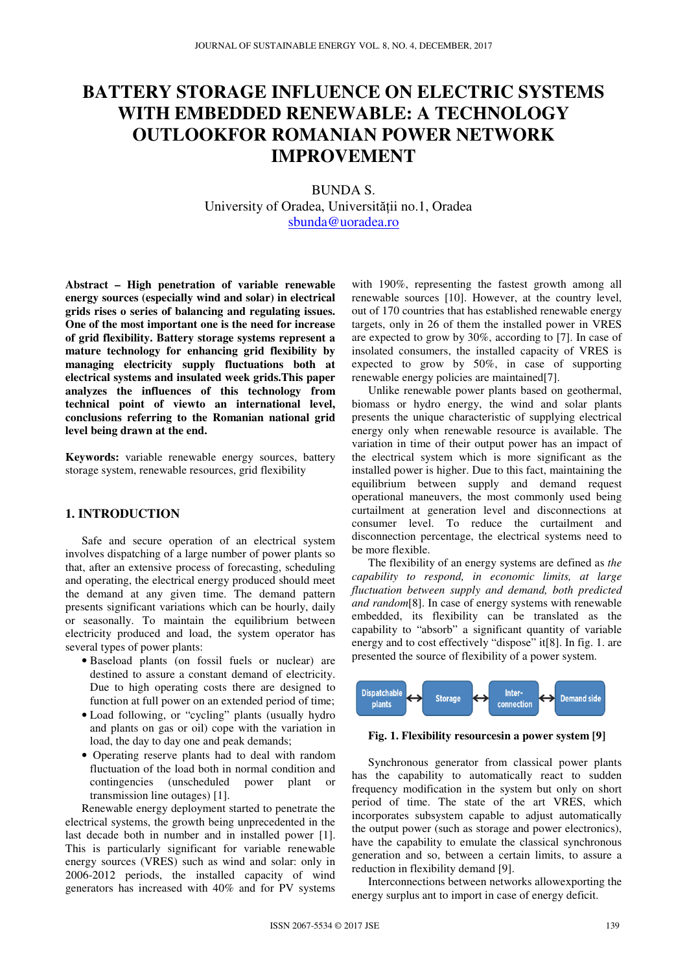# **BATTERY STORAGE INFLUENCE ON ELECTRIC SYSTEMS WITH EMBEDDED RENEWABLE: A TECHNOLOGY OUTLOOKFOR ROMANIAN POWER NETWORK IMPROVEMENT**

BUNDA S. University of Oradea, Universității no.1, Oradea sbunda@uoradea.ro

**Abstract – High penetration of variable renewable energy sources (especially wind and solar) in electrical grids rises o series of balancing and regulating issues. One of the most important one is the need for increase of grid flexibility. Battery storage systems represent a mature technology for enhancing grid flexibility by managing electricity supply fluctuations both at electrical systems and insulated week grids.This paper analyzes the influences of this technology from technical point of viewto an international level, conclusions referring to the Romanian national grid level being drawn at the end.** 

**Keywords:** variable renewable energy sources, battery storage system, renewable resources, grid flexibility

## **1. INTRODUCTION**

Safe and secure operation of an electrical system involves dispatching of a large number of power plants so that, after an extensive process of forecasting, scheduling and operating, the electrical energy produced should meet the demand at any given time. The demand pattern presents significant variations which can be hourly, daily or seasonally. To maintain the equilibrium between electricity produced and load, the system operator has several types of power plants:

- Baseload plants (on fossil fuels or nuclear) are destined to assure a constant demand of electricity. Due to high operating costs there are designed to function at full power on an extended period of time;
- Load following, or "cycling" plants (usually hydro and plants on gas or oil) cope with the variation in load, the day to day one and peak demands;
- Operating reserve plants had to deal with random fluctuation of the load both in normal condition and contingencies (unscheduled power plant or transmission line outages) [1].

Renewable energy deployment started to penetrate the electrical systems, the growth being unprecedented in the last decade both in number and in installed power [1]. This is particularly significant for variable renewable energy sources (VRES) such as wind and solar: only in 2006-2012 periods, the installed capacity of wind generators has increased with 40% and for PV systems

with 190%, representing the fastest growth among all renewable sources [10]. However, at the country level, out of 170 countries that has established renewable energy targets, only in 26 of them the installed power in VRES are expected to grow by 30%, according to [7]. In case of insolated consumers, the installed capacity of VRES is expected to grow by 50%, in case of supporting renewable energy policies are maintained[7].

Unlike renewable power plants based on geothermal, biomass or hydro energy, the wind and solar plants presents the unique characteristic of supplying electrical energy only when renewable resource is available. The variation in time of their output power has an impact of the electrical system which is more significant as the installed power is higher. Due to this fact, maintaining the equilibrium between supply and demand request operational maneuvers, the most commonly used being curtailment at generation level and disconnections at consumer level. To reduce the curtailment and disconnection percentage, the electrical systems need to be more flexible.

The flexibility of an energy systems are defined as *the capability to respond, in economic limits, at large fluctuation between supply and demand, both predicted and random*[8]. In case of energy systems with renewable embedded, its flexibility can be translated as the capability to "absorb" a significant quantity of variable energy and to cost effectively "dispose" it[8]. In fig. 1. are presented the source of flexibility of a power system.



**Fig. 1. Flexibility resourcesin a power system [9]** 

Synchronous generator from classical power plants has the capability to automatically react to sudden frequency modification in the system but only on short period of time. The state of the art VRES, which incorporates subsystem capable to adjust automatically the output power (such as storage and power electronics), have the capability to emulate the classical synchronous generation and so, between a certain limits, to assure a reduction in flexibility demand [9].

Interconnections between networks allowexporting the energy surplus ant to import in case of energy deficit.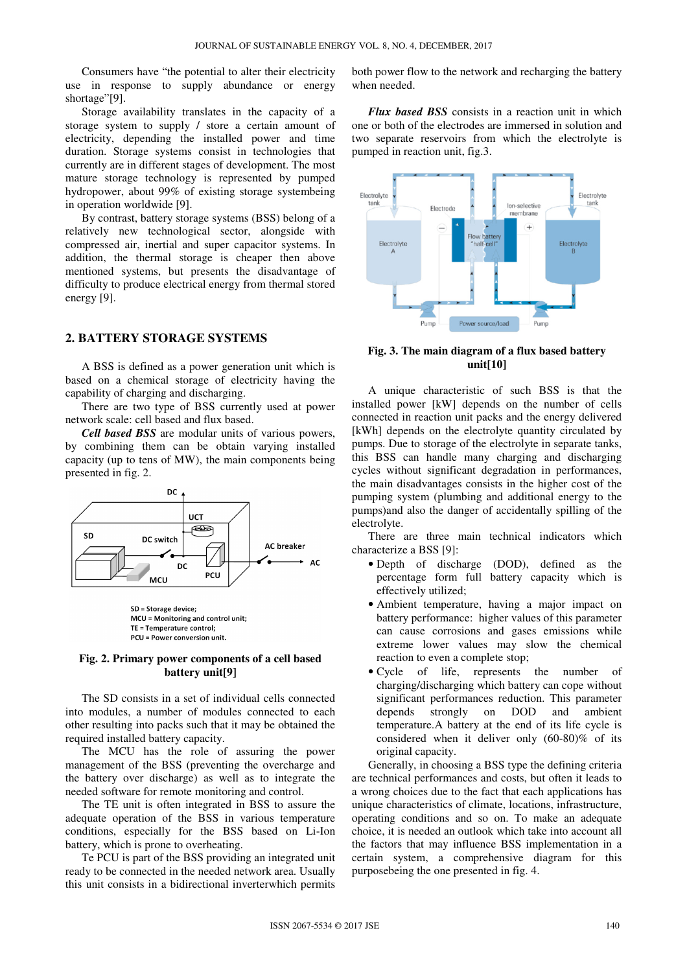Consumers have "the potential to alter their electricity use in response to supply abundance or energy shortage"[9].

Storage availability translates in the capacity of a storage system to supply / store a certain amount of electricity, depending the installed power and time duration. Storage systems consist in technologies that currently are in different stages of development. The most mature storage technology is represented by pumped hydropower, about 99% of existing storage systembeing in operation worldwide [9].

By contrast, battery storage systems (BSS) belong of a relatively new technological sector, alongside with compressed air, inertial and super capacitor systems. In addition, the thermal storage is cheaper then above mentioned systems, but presents the disadvantage of difficulty to produce electrical energy from thermal stored energy [9].

# **2. BATTERY STORAGE SYSTEMS**

A BSS is defined as a power generation unit which is based on a chemical storage of electricity having the capability of charging and discharging.

There are two type of BSS currently used at power network scale: cell based and flux based.

*Cell based BSS* are modular units of various powers, by combining them can be obtain varying installed capacity (up to tens of MW), the main components being presented in fig. 2.



SD = Storage device; MCU = Monitoring and control unit; TE = Temperature control; PCU = Power conversion unit.

#### **Fig. 2. Primary power components of a cell based battery unit[9]**

The SD consists in a set of individual cells connected into modules, a number of modules connected to each other resulting into packs such that it may be obtained the required installed battery capacity.

The MCU has the role of assuring the power management of the BSS (preventing the overcharge and the battery over discharge) as well as to integrate the needed software for remote monitoring and control.

The TE unit is often integrated in BSS to assure the adequate operation of the BSS in various temperature conditions, especially for the BSS based on Li-Ion battery, which is prone to overheating.

Te PCU is part of the BSS providing an integrated unit ready to be connected in the needed network area. Usually this unit consists in a bidirectional inverterwhich permits both power flow to the network and recharging the battery when needed.

*Flux based BSS* consists in a reaction unit in which one or both of the electrodes are immersed in solution and two separate reservoirs from which the electrolyte is pumped in reaction unit, fig.3.



**Fig. 3. The main diagram of a flux based battery unit[10]** 

A unique characteristic of such BSS is that the installed power [kW] depends on the number of cells connected in reaction unit packs and the energy delivered [kWh] depends on the electrolyte quantity circulated by pumps. Due to storage of the electrolyte in separate tanks, this BSS can handle many charging and discharging cycles without significant degradation in performances, the main disadvantages consists in the higher cost of the pumping system (plumbing and additional energy to the pumps)and also the danger of accidentally spilling of the electrolyte.

There are three main technical indicators which characterize a BSS [9]:

- Depth of discharge (DOD), defined as the percentage form full battery capacity which is effectively utilized;
- Ambient temperature, having a major impact on battery performance: higher values of this parameter can cause corrosions and gases emissions while extreme lower values may slow the chemical reaction to even a complete stop;
- Cycle of life, represents the number of charging/discharging which battery can cope without significant performances reduction. This parameter depends strongly on DOD and ambient temperature.A battery at the end of its life cycle is considered when it deliver only (60-80)% of its original capacity.

Generally, in choosing a BSS type the defining criteria are technical performances and costs, but often it leads to a wrong choices due to the fact that each applications has unique characteristics of climate, locations, infrastructure, operating conditions and so on. To make an adequate choice, it is needed an outlook which take into account all the factors that may influence BSS implementation in a certain system, a comprehensive diagram for this purposebeing the one presented in fig. 4.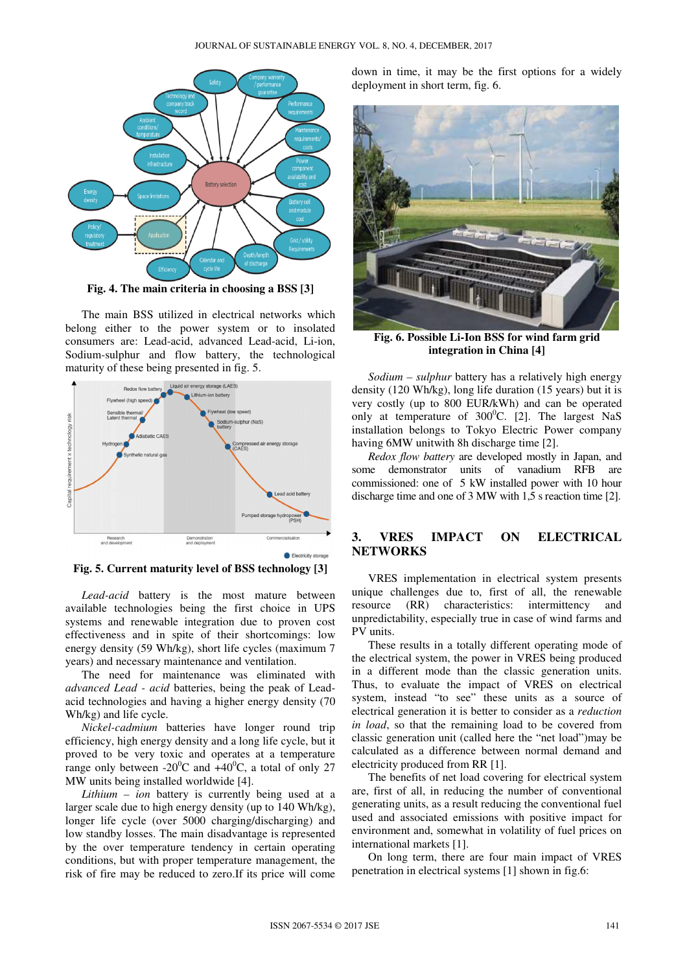

**Fig. 4. The main criteria in choosing a BSS [3]** 

The main BSS utilized in electrical networks which belong either to the power system or to insolated consumers are: Lead-acid, advanced Lead-acid, Li-ion, Sodium-sulphur and flow battery, the technological maturity of these being presented in fig. 5.



**Fig. 5. Current maturity level of BSS technology [3]** 

*Lead-acid* battery is the most mature between available technologies being the first choice in UPS systems and renewable integration due to proven cost effectiveness and in spite of their shortcomings: low energy density (59 Wh/kg), short life cycles (maximum 7 years) and necessary maintenance and ventilation.

The need for maintenance was eliminated with *advanced Lead - acid* batteries, being the peak of Leadacid technologies and having a higher energy density (70 Wh/kg) and life cycle.

*Nickel-cadmium* batteries have longer round trip efficiency, high energy density and a long life cycle, but it proved to be very toxic and operates at a temperature range only between -20<sup>o</sup>C and  $+40^{\circ}$ C, a total of only 27 MW units being installed worldwide [4].

*Lithium – ion* battery is currently being used at a larger scale due to high energy density (up to 140 Wh/kg), longer life cycle (over 5000 charging/discharging) and low standby losses. The main disadvantage is represented by the over temperature tendency in certain operating conditions, but with proper temperature management, the risk of fire may be reduced to zero.If its price will come down in time, it may be the first options for a widely deployment in short term, fig. 6.



**Fig. 6. Possible Li-Ion BSS for wind farm grid integration in China [4]** 

*Sodium – sulphur* battery has a relatively high energy density (120 Wh/kg), long life duration (15 years) but it is very costly (up to 800 EUR/kWh) and can be operated only at temperature of  $300^{\circ}$ C. [2]. The largest NaS installation belongs to Tokyo Electric Power company having 6MW unitwith 8h discharge time [2].

*Redox flow battery* are developed mostly in Japan, and some demonstrator units of vanadium RFB are commissioned: one of 5 kW installed power with 10 hour discharge time and one of 3 MW with 1,5 s reaction time [2].

# **3. VRES IMPACT ON ELECTRICAL NETWORKS**

VRES implementation in electrical system presents unique challenges due to, first of all, the renewable resource (RR) characteristics: intermittency and unpredictability, especially true in case of wind farms and PV units.

These results in a totally different operating mode of the electrical system, the power in VRES being produced in a different mode than the classic generation units. Thus, to evaluate the impact of VRES on electrical system, instead "to see" these units as a source of electrical generation it is better to consider as a *reduction in load*, so that the remaining load to be covered from classic generation unit (called here the "net load")may be calculated as a difference between normal demand and electricity produced from RR [1].

The benefits of net load covering for electrical system are, first of all, in reducing the number of conventional generating units, as a result reducing the conventional fuel used and associated emissions with positive impact for environment and, somewhat in volatility of fuel prices on international markets [1].

On long term, there are four main impact of VRES penetration in electrical systems [1] shown in fig.6: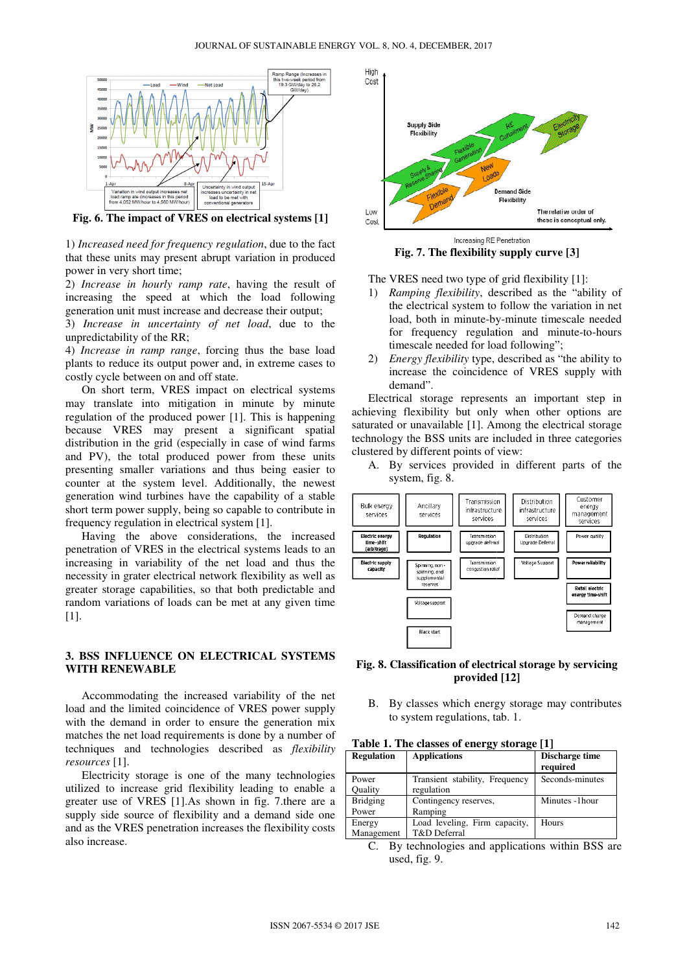

**Fig. 6. The impact of VRES on electrical systems [ [1]** 

1) *Increased need for frequency regulation* , due to the fact that these units may present abrupt variation in produced power in very short time;

2) *Increase in hourly ramp rate*, having the result of increasing the speed at which the load following generation unit must increase and decrease their output;

3) *Increase in uncertainty of net load* , due to the unpredictability of the RR;

4) *Increase in ramp range*, forcing thus the base load plants to reduce its output power and, in extreme cases to costly cycle between on and off state.

On short term, VRES impact on electrical systems may translate into mitigation in minute by minute regulation of the produced power [1]. This is happening because VRES may present a significant spatial distribution in the grid (especially in case of wind farms and PV), the total produced power from these units presenting smaller variations and thus being easier to counter at the system level. Additionally, the newest generation wind turbines have the capability of a stable short term power supply, being so capable to contribute in frequency regulation in electrical system [ RES impact on electrical<br>mitigation in minute<br>uced power [1]. This<br>resent a signification is a signification in case of<br>roduced power from<br>rations and thus bei<br>n level. Additionally,<br>y, being so capable to<br>electrical syste

Having the above considerations, the increased penetration of VRES in the electrical systems leads to an increasing in variability of the net load and thus the necessity in grater electrical network flexibility as well as greater storage capabilities, so that both predictable and , random variations of loads can be met at any given time [1].

## **3. BSS INFLUENCE ON ELECTRICAL SYSTEMS WITH RENEWABLE**

Accommodating the increased variability of the net load and the limited coincidence of VRES power supply with the demand in order to ensure the generation mix matches the net load requirements is done by a number of techniques and technologies described as *flexibility resources* [1].

Electricity storage is one of the many technologies utilized to increase grid flexibility leading to enable a greater use of VRES [1]. As shown in fig. 7 there are a supply side source of flexibility and a demand side one and as the VRES penetration increases the flexibility costs also increase.



**Fig. 7. The flexibility supply curve [3]** 

The VRES need two type of grid flexibility [ [1]:

- 1) *Ramping flexibility*, described as the "ability of the electrical system to follow the variation in net load, both in minute-by by-minute timescale needed for frequency regulation and minute-to-hours timescale needed for load following";
- 2) *Energy flexibility* type, described as "the ability to increase the coincidence of VRES supply with demand".

Electrical storage represents an important step in achieving flexibility but only when other options are saturated or unavailable [1]. Among the electrical storage technology the BSS units are included in three categories clustered by different points of view ease the coincidence of<br>and".<br>1 storage represents an<br>lexibility but only when<br>unavailable [1]. Among<br>the BSS units are include<br>different points of view:

A. By services provided in different parts of the system, fig. 8.



## **Fig. 8. Classification of electrical storage by servicing provided [1 [12]**

B. By classes which energy storage may contributes to system regulations, tab. 1.

| <b>Regulation</b>        | <b>Applications</b>                           | Discharge time<br>required |
|--------------------------|-----------------------------------------------|----------------------------|
| Power<br>Ouality         | Transient stability, Frequency<br>regulation  | Seconds-minutes            |
| <b>Bridging</b><br>Power | Contingency reserves,<br>Ramping              | Minutes -1hour             |
| Energy<br>Management     | Load leveling, Firm capacity,<br>T&D Deferral | Hours                      |

C. By technologies and applications within BSS are used, fig. 9.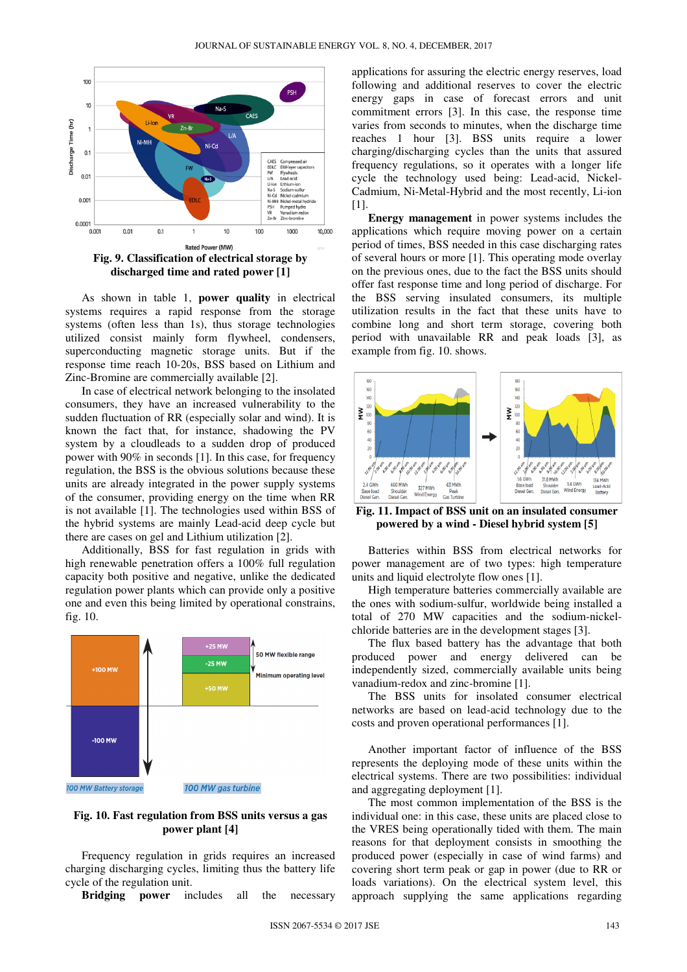

As shown in table 1, **power quality** in electrical systems requires a rapid response from the storage systems (often less than 1s), thus storage technologies utilized consist mainly form flywheel, condensers, superconducting magnetic storage units. But if the response time reach 10-20s, BSS based on Lithium and Zinc-Bromine are commercially available [2].

In case of electrical network belonging to the insolated consumers, they have an increased vulnerability to the sudden fluctuation of RR (especially solar and wind). It is known the fact that, for instance, shadowing the PV system by a cloudleads to a sudden drop of produced power with 90% in seconds [1]. In this case, for frequency regulation, the BSS is the obvious solutions because these units are already integrated in the power supply systems of the consumer, providing energy on the time when RR is not available [1]. The technologies used within BSS of the hybrid systems are mainly Lead-acid deep cycle but there are cases on gel and Lithium utilization [2].

Additionally, BSS for fast regulation in grids with high renewable penetration offers a 100% full regulation capacity both positive and negative, unlike the dedicated regulation power plants which can provide only a positive one and even this being limited by operational constrains, fig. 10.



### **Fig. 10. Fast regulation from BSS units versus a gas power plant [4]**

Frequency regulation in grids requires an increased charging discharging cycles, limiting thus the battery life cycle of the regulation unit.

**Bridging power** includes all the necessary

applications for assuring the electric energy reserves, load following and additional reserves to cover the electric energy gaps in case of forecast errors and unit commitment errors [3]. In this case, the response time varies from seconds to minutes, when the discharge time reaches 1 hour [3]. BSS units require a lower charging/discharging cycles than the units that assured frequency regulations, so it operates with a longer life cycle the technology used being: Lead-acid, Nickel-Cadmium, Ni-Metal-Hybrid and the most recently, Li-ion [1].

**Energy management** in power systems includes the applications which require moving power on a certain period of times, BSS needed in this case discharging rates of several hours or more [1]. This operating mode overlay on the previous ones, due to the fact the BSS units should offer fast response time and long period of discharge. For the BSS serving insulated consumers, its multiple utilization results in the fact that these units have to combine long and short term storage, covering both period with unavailable RR and peak loads [3], as example from fig. 10. shows.



**Fig. 11. Impact of BSS unit on an insulated consumer powered by a wind - Diesel hybrid system [5]** 

Batteries within BSS from electrical networks for power management are of two types: high temperature units and liquid electrolyte flow ones [1].

High temperature batteries commercially available are the ones with sodium-sulfur, worldwide being installed a total of 270 MW capacities and the sodium-nickelchloride batteries are in the development stages [3].

The flux based battery has the advantage that both produced power and energy delivered can be independently sized, commercially available units being vanadium-redox and zinc-bromine [1].

The BSS units for insolated consumer electrical networks are based on lead-acid technology due to the costs and proven operational performances [1].

Another important factor of influence of the BSS represents the deploying mode of these units within the electrical systems. There are two possibilities: individual and aggregating deployment [1].

The most common implementation of the BSS is the individual one: in this case, these units are placed close to the VRES being operationally tided with them. The main reasons for that deployment consists in smoothing the produced power (especially in case of wind farms) and covering short term peak or gap in power (due to RR or loads variations). On the electrical system level, this approach supplying the same applications regarding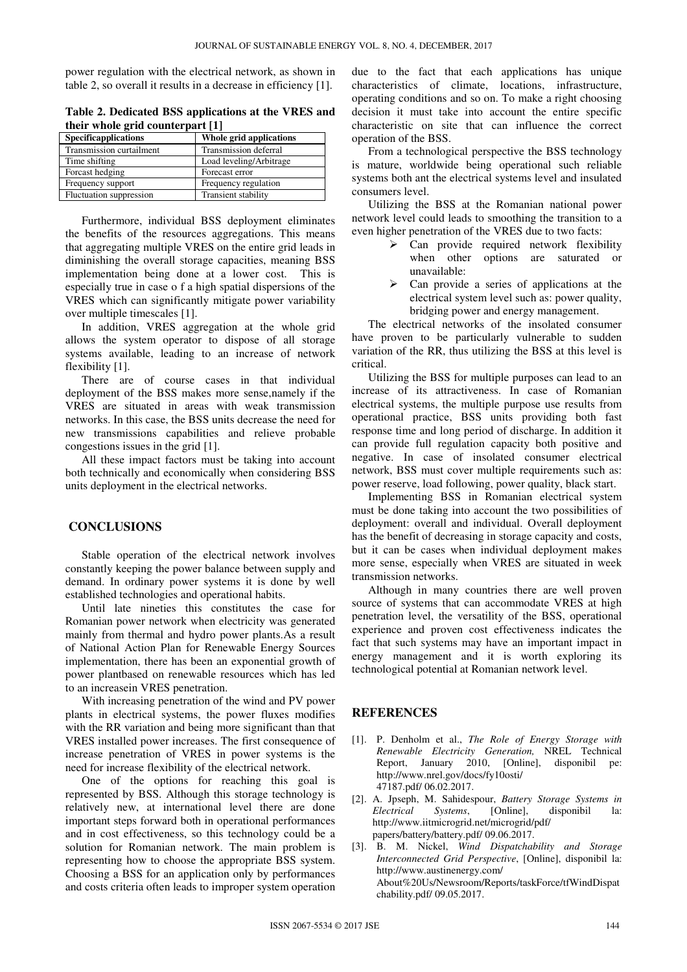power regulation with the electrical network, as shown in table 2, so overall it results in a decrease in efficiency [1].

| Table 2. Dedicated BSS applications at the VRES and |  |
|-----------------------------------------------------|--|
| their whole grid counterpart [1]                    |  |

| <b>Specificapplications</b> | Whole grid applications    |  |
|-----------------------------|----------------------------|--|
| Transmission curtailment    | Transmission deferral      |  |
| Time shifting               | Load leveling/Arbitrage    |  |
| Forcast hedging             | Forecast error             |  |
| Frequency support           | Frequency regulation       |  |
| Fluctuation suppression     | <b>Transient stability</b> |  |

Furthermore, individual BSS deployment eliminates the benefits of the resources aggregations. This means that aggregating multiple VRES on the entire grid leads in diminishing the overall storage capacities, meaning BSS implementation being done at a lower cost. This is especially true in case o f a high spatial dispersions of the VRES which can significantly mitigate power variability over multiple timescales [1].

In addition, VRES aggregation at the whole grid allows the system operator to dispose of all storage systems available, leading to an increase of network flexibility [1].

There are of course cases in that individual deployment of the BSS makes more sense,namely if the VRES are situated in areas with weak transmission networks. In this case, the BSS units decrease the need for new transmissions capabilities and relieve probable congestions issues in the grid [1].

All these impact factors must be taking into account both technically and economically when considering BSS units deployment in the electrical networks.

### **CONCLUSIONS**

Stable operation of the electrical network involves constantly keeping the power balance between supply and demand. In ordinary power systems it is done by well established technologies and operational habits.

Until late nineties this constitutes the case for Romanian power network when electricity was generated mainly from thermal and hydro power plants.As a result of National Action Plan for Renewable Energy Sources implementation, there has been an exponential growth of power plantbased on renewable resources which has led to an increasein VRES penetration.

With increasing penetration of the wind and PV power plants in electrical systems, the power fluxes modifies with the RR variation and being more significant than that VRES installed power increases. The first consequence of increase penetration of VRES in power systems is the need for increase flexibility of the electrical network.

One of the options for reaching this goal is represented by BSS. Although this storage technology is relatively new, at international level there are done important steps forward both in operational performances and in cost effectiveness, so this technology could be a solution for Romanian network. The main problem is representing how to choose the appropriate BSS system. Choosing a BSS for an application only by performances and costs criteria often leads to improper system operation due to the fact that each applications has unique characteristics of climate, locations, infrastructure, operating conditions and so on. To make a right choosing decision it must take into account the entire specific characteristic on site that can influence the correct operation of the BSS.

From a technological perspective the BSS technology is mature, worldwide being operational such reliable systems both ant the electrical systems level and insulated consumers level.

Utilizing the BSS at the Romanian national power network level could leads to smoothing the transition to a even higher penetration of the VRES due to two facts:

- $\triangleright$  Can provide required network flexibility when other options are saturated or unavailable:
- $\triangleright$  Can provide a series of applications at the electrical system level such as: power quality, bridging power and energy management.

The electrical networks of the insolated consumer have proven to be particularly vulnerable to sudden variation of the RR, thus utilizing the BSS at this level is critical.

Utilizing the BSS for multiple purposes can lead to an increase of its attractiveness. In case of Romanian electrical systems, the multiple purpose use results from operational practice, BSS units providing both fast response time and long period of discharge. In addition it can provide full regulation capacity both positive and negative. In case of insolated consumer electrical network, BSS must cover multiple requirements such as: power reserve, load following, power quality, black start.

Implementing BSS in Romanian electrical system must be done taking into account the two possibilities of deployment: overall and individual. Overall deployment has the benefit of decreasing in storage capacity and costs, but it can be cases when individual deployment makes more sense, especially when VRES are situated in week transmission networks.

Although in many countries there are well proven source of systems that can accommodate VRES at high penetration level, the versatility of the BSS, operational experience and proven cost effectiveness indicates the fact that such systems may have an important impact in energy management and it is worth exploring its technological potential at Romanian network level.

## **REFERENCES**

- [1]. P. Denholm et al., *The Role of Energy Storage with Renewable Electricity Generation,* NREL Technical Report, January 2010, [Online], disponibil pe: http://www.nrel.gov/docs/fy10osti/ 47187.pdf/ 06.02.2017.
- [2]. A. Jpseph, M. Sahidespour, *Battery Storage Systems in Electrical Systems*, [Online], disponibil la: http://www.iitmicrogrid.net/microgrid/pdf/ papers/battery/battery.pdf/ 09.06.2017.
- [3]. B. M. Nickel, *Wind Dispatchability and Storage Interconnected Grid Perspective*, [Online], disponibil la: http://www.austinenergy.com/ About%20Us/Newsroom/Reports/taskForce/tfWindDispat chability.pdf/ 09.05.2017.